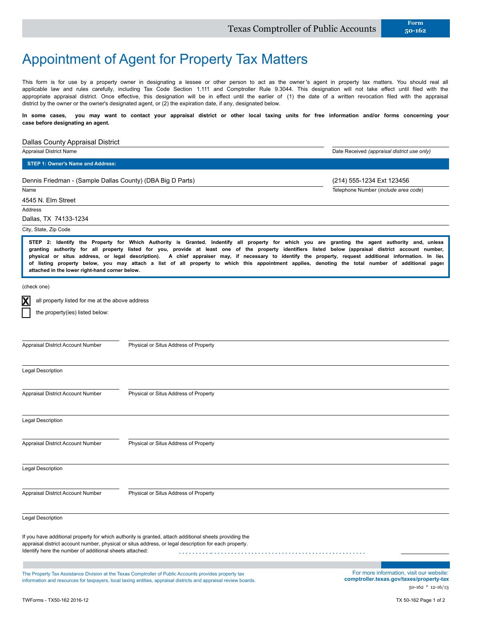# Appointment of Agent for Property Tax Matters

This form is for use by a property owner in designating a lessee or other person to act as the owner's agent in property tax matters. You should real all applicable law and rules carefully, including Tax Code Section 1.111 and Comptroller Rule 9.3044. This designation will not take effect until filed with the appropriate appraisal district. Once effective, this designation will be in effect until the earlier of (1) the date of a written revocation filed with the appraisal district by the owner or the owner's designated agent, or (2) the expiration date, if any, designated below.

**In some cases, you may want to contact your appraisal district or other local taxing units for free information and/or forms concerning your case before designating an agent.**

### Dallas County Appraisal District

Appraisal District Name Date Received *(appraisal district use only)* Name 4545 N. Elm Street Telephone Number (*include area code*) Dennis Friedman - (Sample Dallas County) (DBA Big D Parts) (214) 555-1234 Ext 123456 **STEP 1: Owner's Name and Address:**

Address

Dallas, TX 74133-1234

#### City, State, Zip Code

**STEP 2: Identify the Property for Which Authority is Granted. Indentify all property for which you are granting the agent authority and, unless granting authority for all property listed for you, provide at least one of the property identifiers listed below (appraisal district account number, physical or situs address, or legal description). A chief appraiser may, if necessary to identify the property, request additional information. In lieu of listing property below, you may attach a list of all property to which this appointment applies, denoting the total number of additional pages attached in the lower right-hand corner below.**

(check one)

**X**

all property listed for me at the above address

Appraisal District Account Number Physical or Situs Address of Property

the property(ies) listed below:

| <b>Legal Description</b>                                |                                                                                                                                                                                                                            |                                                                                                             |
|---------------------------------------------------------|----------------------------------------------------------------------------------------------------------------------------------------------------------------------------------------------------------------------------|-------------------------------------------------------------------------------------------------------------|
| Appraisal District Account Number                       | Physical or Situs Address of Property                                                                                                                                                                                      |                                                                                                             |
| <b>Legal Description</b>                                |                                                                                                                                                                                                                            |                                                                                                             |
| Appraisal District Account Number                       | Physical or Situs Address of Property                                                                                                                                                                                      |                                                                                                             |
| <b>Legal Description</b>                                |                                                                                                                                                                                                                            |                                                                                                             |
| Appraisal District Account Number                       | Physical or Situs Address of Property                                                                                                                                                                                      |                                                                                                             |
| <b>Legal Description</b>                                |                                                                                                                                                                                                                            |                                                                                                             |
| Identify here the number of additional sheets attached: | If you have additional property for which authority is granted, attach additional sheets providing the<br>appraisal district account number, physical or situs address, or legal description for each property.            |                                                                                                             |
|                                                         | The Property Tax Assistance Division at the Texas Comptroller of Public Accounts provides property tax<br>information and resources for taxpayers, local taxing entities, appraisal districts and appraisal review boards. | For more information, visit our website:<br>comptroller.texas.gov/taxes/property-tax<br>$50-162$ * 12-16/13 |